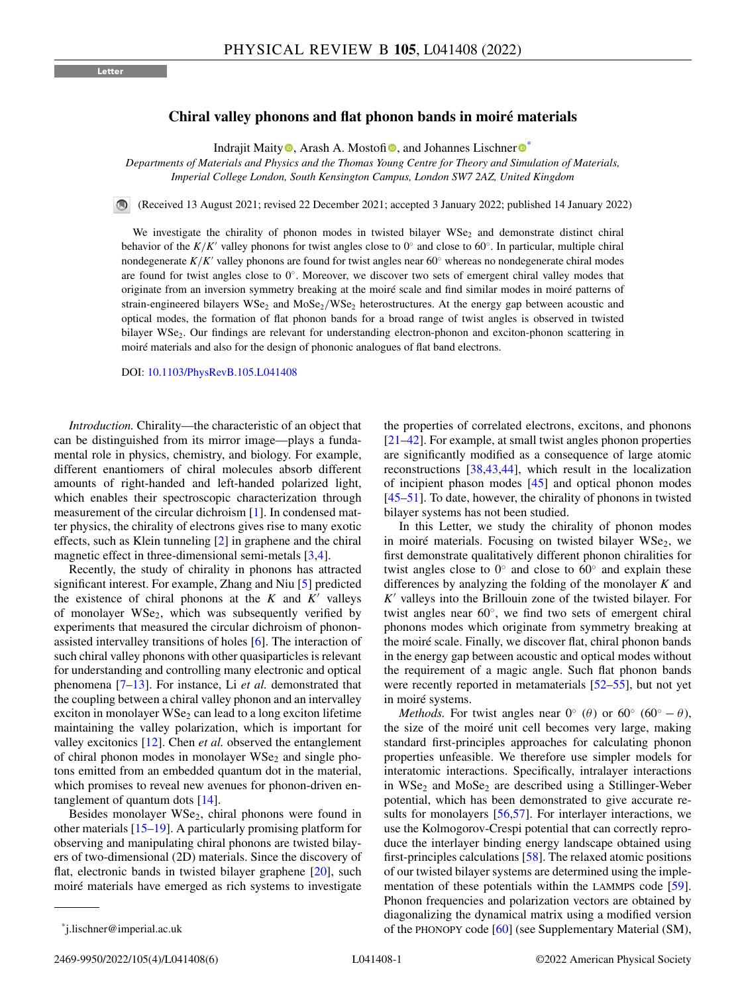## **Chiral valley phonons and flat phonon bands in moiré materials**

Ind[r](https://orcid.org/0000-0002-9601-7821)ajit Maity  $\bullet$ [,](https://orcid.org/0000-0003-0547-7572) Arash A. Mosto[fi](https://orcid.org/0000-0002-6883-8278) $\bullet$ , and Johannes Lischner  $\bullet^*$ 

*Departments of Materials and Physics and the Thomas Young Centre for Theory and Simulation of Materials, Imperial College London, South Kensington Campus, London SW7 2AZ, United Kingdom*

(Received 13 August 2021; revised 22 December 2021; accepted 3 January 2022; published 14 January 2022)

We investigate the chirality of phonon modes in twisted bilayer WSe<sub>2</sub> and demonstrate distinct chiral behavior of the  $K/K'$  valley phonons for twist angles close to 0° and close to 60°. In particular, multiple chiral nondegenerate *K/K'* valley phonons are found for twist angles near 60° whereas no nondegenerate chiral modes are found for twist angles close to 0◦. Moreover, we discover two sets of emergent chiral valley modes that originate from an inversion symmetry breaking at the moiré scale and find similar modes in moiré patterns of strain-engineered bilayers WSe<sub>2</sub> and MoSe<sub>2</sub>/WSe<sub>2</sub> heterostructures. At the energy gap between acoustic and optical modes, the formation of flat phonon bands for a broad range of twist angles is observed in twisted bilayer WSe<sub>2</sub>. Our findings are relevant for understanding electron-phonon and exciton-phonon scattering in moiré materials and also for the design of phononic analogues of flat band electrons.

DOI: [10.1103/PhysRevB.105.L041408](https://doi.org/10.1103/PhysRevB.105.L041408)

*Introduction.* Chirality—the characteristic of an object that can be distinguished from its mirror image—plays a fundamental role in physics, chemistry, and biology. For example, different enantiomers of chiral molecules absorb different amounts of right-handed and left-handed polarized light, which enables their spectroscopic characterization through measurement of the circular dichroism [\[1\]](#page-3-0). In condensed matter physics, the chirality of electrons gives rise to many exotic effects, such as Klein tunneling [\[2\]](#page-3-0) in graphene and the chiral magnetic effect in three-dimensional semi-metals [\[3,4\]](#page-3-0).

Recently, the study of chirality in phonons has attracted significant interest. For example, Zhang and Niu [\[5\]](#page-3-0) predicted the existence of chiral phonons at the  $K$  and  $K'$  valleys of monolayer  $WSe<sub>2</sub>$ , which was subsequently verified by experiments that measured the circular dichroism of phononassisted intervalley transitions of holes [\[6\]](#page-3-0). The interaction of such chiral valley phonons with other quasiparticles is relevant for understanding and controlling many electronic and optical phenomena [\[7–](#page-3-0)[13\]](#page-4-0). For instance, Li *et al.* demonstrated that the coupling between a chiral valley phonon and an intervalley exciton in monolayer  $WSe<sub>2</sub>$  can lead to a long exciton lifetime maintaining the valley polarization, which is important for valley excitonics [\[12\]](#page-4-0). Chen *et al.* observed the entanglement of chiral phonon modes in monolayer  $WSe<sub>2</sub>$  and single photons emitted from an embedded quantum dot in the material, which promises to reveal new avenues for phonon-driven entanglement of quantum dots [\[14\]](#page-4-0).

Besides monolayer  $WSe<sub>2</sub>$ , chiral phonons were found in other materials [\[15–19\]](#page-4-0). A particularly promising platform for observing and manipulating chiral phonons are twisted bilayers of two-dimensional (2D) materials. Since the discovery of flat, electronic bands in twisted bilayer graphene [\[20\]](#page-4-0), such moiré materials have emerged as rich systems to investigate

the properties of correlated electrons, excitons, and phonons [\[21–42\]](#page-4-0). For example, at small twist angles phonon properties are significantly modified as a consequence of large atomic reconstructions [\[38,43,44\]](#page-4-0), which result in the localization of incipient phason modes [\[45\]](#page-4-0) and optical phonon modes [\[45–51\]](#page-4-0). To date, however, the chirality of phonons in twisted bilayer systems has not been studied.

In this Letter, we study the chirality of phonon modes in moiré materials. Focusing on twisted bilayer  $WSe<sub>2</sub>$ , we first demonstrate qualitatively different phonon chiralities for twist angles close to  $0°$  and close to  $60°$  and explain these differences by analyzing the folding of the monolayer *K* and K<sup>'</sup> valleys into the Brillouin zone of the twisted bilayer. For twist angles near  $60^\circ$ , we find two sets of emergent chiral phonons modes which originate from symmetry breaking at the moiré scale. Finally, we discover flat, chiral phonon bands in the energy gap between acoustic and optical modes without the requirement of a magic angle. Such flat phonon bands were recently reported in metamaterials [\[52–55\]](#page-4-0), but not yet in moiré systems.

*Methods.* For twist angles near  $0° (\theta)$  or  $60° (60° - \theta)$ , the size of the moiré unit cell becomes very large, making standard first-principles approaches for calculating phonon properties unfeasible. We therefore use simpler models for interatomic interactions. Specifically, intralayer interactions in WSe<sub>2</sub> and MoSe<sub>2</sub> are described using a Stillinger-Weber potential, which has been demonstrated to give accurate re-sults for monolayers [\[56,57\]](#page-4-0). For interlayer interactions, we use the Kolmogorov-Crespi potential that can correctly reproduce the interlayer binding energy landscape obtained using first-principles calculations [\[58\]](#page-5-0). The relaxed atomic positions of our twisted bilayer systems are determined using the imple-mentation of these potentials within the LAMMPS code [\[59\]](#page-5-0). Phonon frequencies and polarization vectors are obtained by diagonalizing the dynamical matrix using a modified version of the PHONOPY code [\[60\]](#page-5-0) (see Supplementary Material (SM),

<sup>\*</sup>j.lischner@imperial.ac.uk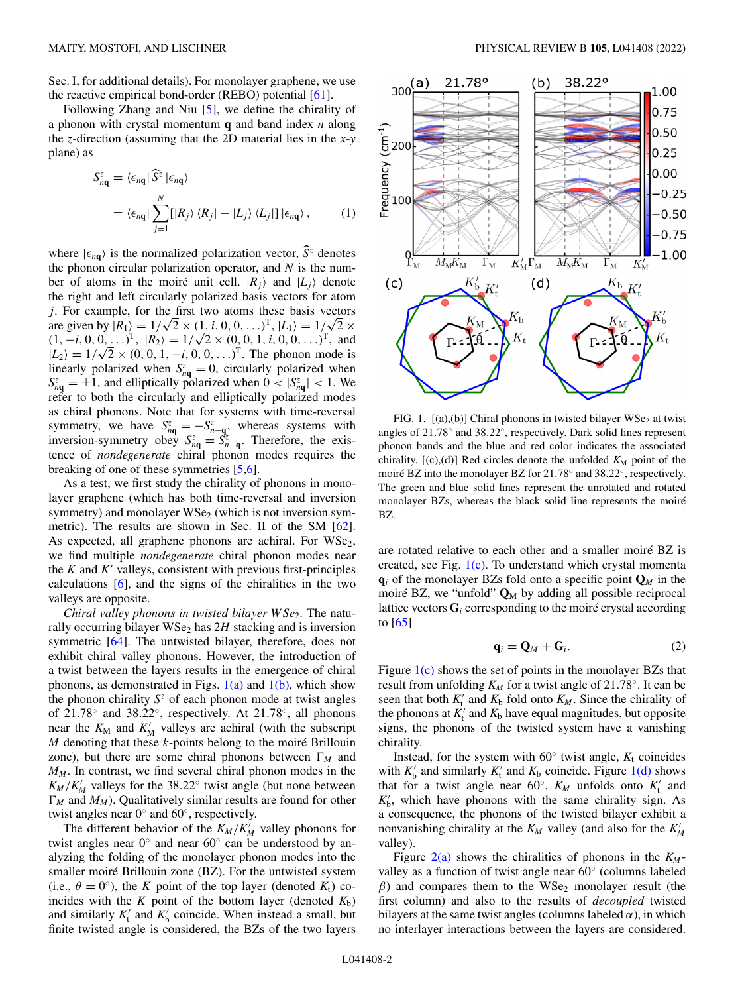Sec. I, for additional details). For monolayer graphene, we use the reactive empirical bond-order (REBO) potential [\[61\]](#page-5-0).

Following Zhang and Niu [\[5\]](#page-3-0), we define the chirality of a phonon with crystal momentum **q** and band index *n* along the *z*-direction (assuming that the 2D material lies in the *x*-*y* plane) as

$$
S_{n\mathbf{q}}^{z} = \langle \epsilon_{n\mathbf{q}} | \widehat{S}^{z} | \epsilon_{n\mathbf{q}} \rangle
$$
  
=  $\langle \epsilon_{n\mathbf{q}} | \sum_{j=1}^{N} [|R_{j}\rangle \langle R_{j}| - |L_{j}\rangle \langle L_{j}|] | \epsilon_{n\mathbf{q}} \rangle$ , (1)

where  $|\epsilon_{n\mathbf{q}}\rangle$  is the normalized polarization vector,  $\hat{S}^z$  denotes the phonon circular polarization operator, and *N* is the number of atoms in the moiré unit cell.  $|R_j\rangle$  and  $|L_j\rangle$  denote the right and left circularly polarized basis vectors for atom *j*. For example, for the first two atoms these basis vectors are given by  $|R_1\rangle = 1/\sqrt{2} \times (1, i, 0, 0, ...)$ <sup>T</sup>,  $|L_1\rangle = 1/\sqrt{2} \times$ (1, −*i*, 0, 0,...)<sup>T</sup>,  $|R_2$ ) = 1/ $\sqrt{2}$  × (0, 0, 1, *i*, 0, 0,...)<sup>T</sup>, and<br>(1, −*i*, 0, 0,...)<sup>T</sup>,  $|R_2$ ) = 1/ $\sqrt{2}$  × (0, 0, 1, *i*, 0, 0,...)<sup>T</sup>, and  $|L_2\rangle = 1/\sqrt{2} \times (0, 0, 1, -i, 0, 0, ...)$ <sup>T</sup>. The phonon mode is linearly polarized when  $S_{nq}^z = 0$ , circularly polarized when  $S_{nq}^z = \pm 1$ , and elliptically polarized when  $0 < |S_{nq}^z| < 1$ . We refer to both the circularly and elliptically polarized modes as chiral phonons. Note that for systems with time-reversal symmetry, we have  $S_{nq}^z = -S_{n-q}^z$ , whereas systems with<br>inversion-symmetry obey  $S_{nq}^z = S_{n-q}^z$ . Therefore, the exis-<br>tence of *nondegenerate* chiral phonon modes requires the breaking of one of these symmetries [\[5,6\]](#page-3-0).

As a test, we first study the chirality of phonons in monolayer graphene (which has both time-reversal and inversion symmetry) and monolayer  $WSe<sub>2</sub>$  (which is not inversion symmetric). The results are shown in Sec. II of the SM [\[62\]](#page-5-0). As expected, all graphene phonons are achiral. For  $WSe<sub>2</sub>$ , we find multiple *nondegenerate* chiral phonon modes near the  $K$  and  $K'$  valleys, consistent with previous first-principles calculations [\[6\]](#page-3-0), and the signs of the chiralities in the two valleys are opposite.

*Chiral valley phonons in twisted bilayer W Se<sub>2</sub>. The natu*rally occurring bilayer  $WSe<sub>2</sub>$  has  $2H$  stacking and is inversion symmetric [\[64\]](#page-5-0). The untwisted bilayer, therefore, does not exhibit chiral valley phonons. However, the introduction of a twist between the layers results in the emergence of chiral phonons, as demonstrated in Figs.  $1(a)$  and  $1(b)$ , which show the phonon chirality  $S^z$  of each phonon mode at twist angles of 21.78◦ and 38.22◦, respectively. At 21.78◦, all phonons near the  $K_M$  and  $K'_M$  valleys are achiral (with the subscript *M* denoting that these *k*-points belong to the moiré Brillouin zone), but there are some chiral phonons between  $\Gamma_M$  and  $M_M$ . In contrast, we find several chiral phonon modes in the  $K_M/K'_M$  valleys for the 38.22 $\textdegree$  twist angle (but none between  $\Gamma_M$  and  $M_M$ ). Qualitatively similar results are found for other twist angles near  $0°$  and  $60°$ , respectively.

The different behavior of the  $K_M/K'_M$  valley phonons for twist angles near  $0^\circ$  and near  $60^\circ$  can be understood by analyzing the folding of the monolayer phonon modes into the smaller moiré Brillouin zone (BZ). For the untwisted system (i.e.,  $\theta = 0^{\circ}$ ), the *K* point of the top layer (denoted  $K_t$ ) coincides with the  $K$  point of the bottom layer (denoted  $K_b$ ) and similarly  $K_t'$  and  $K_b'$  coincide. When instead a small, but finite twisted angle is considered, the BZs of the two layers



FIG. 1.  $[(a),(b)]$  Chiral phonons in twisted bilayer WSe<sub>2</sub> at twist angles of 21.78◦ and 38.22◦, respectively. Dark solid lines represent phonon bands and the blue and red color indicates the associated chirality.  $[(c),(d)]$  Red circles denote the unfolded  $K_M$  point of the moiré BZ into the monolayer BZ for 21.78◦ and 38.22◦, respectively. The green and blue solid lines represent the unrotated and rotated monolayer BZs, whereas the black solid line represents the moiré BZ.

are rotated relative to each other and a smaller moiré BZ is created, see Fig.  $1(c)$ . To understand which crystal momenta  $q_i$  of the monolayer BZs fold onto a specific point  $Q_M$  in the moiré BZ, we "unfold" **Q**<sup>M</sup> by adding all possible reciprocal lattice vectors  $G_i$  corresponding to the moiré crystal according to  $[65]$ 

$$
\mathbf{q}_i = \mathbf{Q}_M + \mathbf{G}_i. \tag{2}
$$

Figure  $1(c)$  shows the set of points in the monolayer BZs that result from unfolding  $K_M$  for a twist angle of 21.78°. It can be seen that both  $K_t'$  and  $K_b$  fold onto  $K_M$ . Since the chirality of the phonons at  $K_t'$  and  $K_b$  have equal magnitudes, but opposite signs, the phonons of the twisted system have a vanishing chirality.

Instead, for the system with  $60°$  twist angle,  $K_t$  coincides with  $K'_{\text{b}}$  and similarly  $K'_{\text{t}}$  and  $K_{\text{b}}$  coincide. Figure 1(d) shows that for a twist angle near  $60^\circ$ ,  $K_M$  unfolds onto  $K_t'$  and  $K'_{b}$ , which have phonons with the same chirality sign. As a consequence, the phonons of the twisted bilayer exhibit a nonvanishing chirality at the  $K_M$  valley (and also for the  $K'_M$ valley).

Figure  $2(a)$  shows the chiralities of phonons in the  $K_M$ valley as a function of twist angle near 60◦ (columns labeled  $\beta$ ) and compares them to the WSe<sub>2</sub> monolayer result (the first column) and also to the results of *decoupled* twisted bilayers at the same twist angles (columns labeled  $\alpha$ ), in which no interlayer interactions between the layers are considered.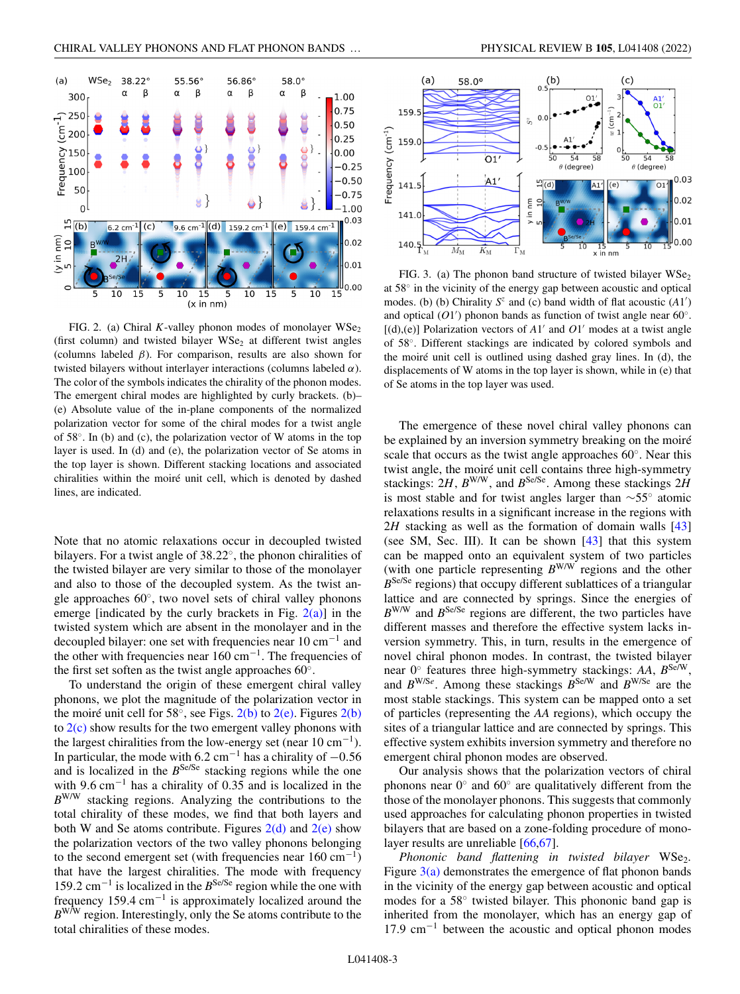<span id="page-2-0"></span>

FIG. 2. (a) Chiral *K*-valley phonon modes of monolayer  $WSe<sub>2</sub>$ (first column) and twisted bilayer  $WSe<sub>2</sub>$  at different twist angles (columns labeled  $\beta$ ). For comparison, results are also shown for twisted bilayers without interlayer interactions (columns labeled  $\alpha$ ). The color of the symbols indicates the chirality of the phonon modes. The emergent chiral modes are highlighted by curly brackets. (b)– (e) Absolute value of the in-plane components of the normalized polarization vector for some of the chiral modes for a twist angle of 58◦. In (b) and (c), the polarization vector of W atoms in the top layer is used. In (d) and (e), the polarization vector of Se atoms in the top layer is shown. Different stacking locations and associated chiralities within the moiré unit cell, which is denoted by dashed lines, are indicated.

Note that no atomic relaxations occur in decoupled twisted bilayers. For a twist angle of 38.22◦, the phonon chiralities of the twisted bilayer are very similar to those of the monolayer and also to those of the decoupled system. As the twist angle approaches 60◦, two novel sets of chiral valley phonons emerge [indicated by the curly brackets in Fig.  $2(a)$ ] in the twisted system which are absent in the monolayer and in the decoupled bilayer: one set with frequencies near 10 cm−<sup>1</sup> and the other with frequencies near 160 cm−1. The frequencies of the first set soften as the twist angle approaches 60◦.

To understand the origin of these emergent chiral valley phonons, we plot the magnitude of the polarization vector in the moiré unit cell for 58 $\degree$ , see Figs. 2(b) to 2(e). Figures 2(b) to  $2(c)$  show results for the two emergent valley phonons with the largest chiralities from the low-energy set (near  $10 \text{ cm}^{-1}$ ). In particular, the mode with 6.2 cm<sup>-1</sup> has a chirality of  $-0.56$ and is localized in the  $B^{Se/Se}$  stacking regions while the one with 9.6 cm<sup>-1</sup> has a chirality of 0.35 and is localized in the *B*W/W stacking regions. Analyzing the contributions to the total chirality of these modes, we find that both layers and both W and Se atoms contribute. Figures  $2(d)$  and  $2(e)$  show the polarization vectors of the two valley phonons belonging to the second emergent set (with frequencies near  $160 \text{ cm}^{-1}$ ) that have the largest chiralities. The mode with frequency 159.2 cm−<sup>1</sup> is localized in the *B*Se/Se region while the one with frequency 159.4 cm−<sup>1</sup> is approximately localized around the *B*W/W region. Interestingly, only the Se atoms contribute to the total chiralities of these modes.



FIG. 3. (a) The phonon band structure of twisted bilayer  $WSe<sub>2</sub>$ at 58◦ in the vicinity of the energy gap between acoustic and optical modes. (b) (b) Chirality  $S^z$  and (c) band width of flat acoustic  $(A1')$ and optical  $(O1')$  phonon bands as function of twist angle near 60°.  $[(d),(e)]$  Polarization vectors of  $A1'$  and  $O1'$  modes at a twist angle of 58◦. Different stackings are indicated by colored symbols and the moiré unit cell is outlined using dashed gray lines. In (d), the displacements of W atoms in the top layer is shown, while in (e) that of Se atoms in the top layer was used.

The emergence of these novel chiral valley phonons can be explained by an inversion symmetry breaking on the moiré scale that occurs as the twist angle approaches 60◦. Near this twist angle, the moiré unit cell contains three high-symmetry stackings:  $2H$ ,  $B^{W/W}$ , and  $B^{Se/Se}$ . Among these stackings  $2H$ is most stable and for twist angles larger than ∼55◦ atomic relaxations results in a significant increase in the regions with 2*H* stacking as well as the formation of domain walls [\[43\]](#page-4-0) (see SM, Sec. III). It can be shown  $[43]$  that this system can be mapped onto an equivalent system of two particles (with one particle representing *B*W/W regions and the other *B*<sup>Se/Se</sup> regions) that occupy different sublattices of a triangular lattice and are connected by springs. Since the energies of  $B^{W/W}$  and  $B^{Se/Se}$  regions are different, the two particles have different masses and therefore the effective system lacks inversion symmetry. This, in turn, results in the emergence of novel chiral phonon modes. In contrast, the twisted bilayer near 0◦ features three high-symmetry stackings: *AA*, *B*Se/W, and  $B^{W/Se}$ . Among these stackings  $B^{Se/W}$  and  $B^{W/Se}$  are the most stable stackings. This system can be mapped onto a set of particles (representing the *AA* regions), which occupy the sites of a triangular lattice and are connected by springs. This effective system exhibits inversion symmetry and therefore no emergent chiral phonon modes are observed.

Our analysis shows that the polarization vectors of chiral phonons near 0◦ and 60◦ are qualitatively different from the those of the monolayer phonons. This suggests that commonly used approaches for calculating phonon properties in twisted bilayers that are based on a zone-folding procedure of monolayer results are unreliable [\[66,67\]](#page-5-0).

*Phononic band flattening in twisted bilayer* WSe<sub>2</sub>. Figure  $3(a)$  demonstrates the emergence of flat phonon bands in the vicinity of the energy gap between acoustic and optical modes for a 58◦ twisted bilayer. This phononic band gap is inherited from the monolayer, which has an energy gap of  $17.9 \text{ cm}^{-1}$  between the acoustic and optical phonon modes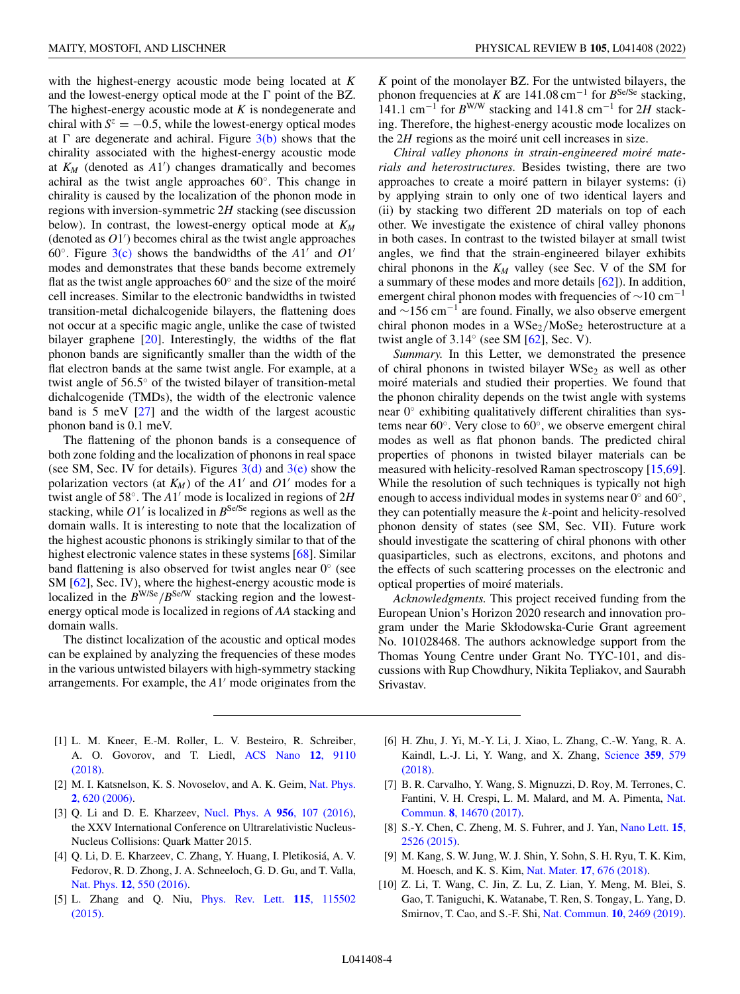<span id="page-3-0"></span>with the highest-energy acoustic mode being located at *K* and the lowest-energy optical mode at the  $\Gamma$  point of the BZ. The highest-energy acoustic mode at *K* is nondegenerate and chiral with  $S^z = -0.5$ , while the lowest-energy optical modes at  $\Gamma$  are degenerate and achiral. Figure [3\(b\)](#page-2-0) shows that the chirality associated with the highest-energy acoustic mode at  $K_M$  (denoted as  $A1'$ ) changes dramatically and becomes achiral as the twist angle approaches 60◦. This change in chirality is caused by the localization of the phonon mode in regions with inversion-symmetric 2*H* stacking (see discussion below). In contrast, the lowest-energy optical mode at  $K_M$  $(denoted as  $O1'$ ) becomes chiral as the twist angle approaches$ 60 $\degree$ . Figure [3\(c\)](#page-2-0) shows the bandwidths of the A1' and O1' modes and demonstrates that these bands become extremely flat as the twist angle approaches 60◦ and the size of the moiré cell increases. Similar to the electronic bandwidths in twisted transition-metal dichalcogenide bilayers, the flattening does not occur at a specific magic angle, unlike the case of twisted bilayer graphene [\[20\]](#page-4-0). Interestingly, the widths of the flat phonon bands are significantly smaller than the width of the flat electron bands at the same twist angle. For example, at a twist angle of 56.5◦ of the twisted bilayer of transition-metal dichalcogenide (TMDs), the width of the electronic valence band is 5 meV [\[27\]](#page-4-0) and the width of the largest acoustic phonon band is 0.1 meV.

The flattening of the phonon bands is a consequence of both zone folding and the localization of phonons in real space (see SM, Sec. IV for details). Figures  $3(d)$  and  $3(e)$  show the polarization vectors (at  $K_M$ ) of the A1' and O1' modes for a twist angle of 58°. The *A*1' mode is localized in regions of 2*H* stacking, while  $O1'$  is localized in  $B^{Se/Se}$  regions as well as the domain walls. It is interesting to note that the localization of the highest acoustic phonons is strikingly similar to that of the highest electronic valence states in these systems [\[68\]](#page-5-0). Similar band flattening is also observed for twist angles near 0◦ (see SM [\[62\]](#page-5-0), Sec. IV), where the highest-energy acoustic mode is localized in the  $B^{W/Se}/B^{Se/W}$  stacking region and the lowestenergy optical mode is localized in regions of *AA* stacking and domain walls.

The distinct localization of the acoustic and optical modes can be explained by analyzing the frequencies of these modes in the various untwisted bilayers with high-symmetry stacking arrangements. For example, the A1' mode originates from the

*K* point of the monolayer BZ. For the untwisted bilayers, the phonon frequencies at *K* are  $141.08 \text{ cm}^{-1}$  for  $B^{\text{Se/Se}}$  stacking, 141.1 cm−<sup>1</sup> for *B*W/W stacking and 141.8 cm−<sup>1</sup> for 2*H* stacking. Therefore, the highest-energy acoustic mode localizes on the 2*H* regions as the moiré unit cell increases in size.

*Chiral valley phonons in strain-engineered moiré materials and heterostructures.* Besides twisting, there are two approaches to create a moiré pattern in bilayer systems: (i) by applying strain to only one of two identical layers and (ii) by stacking two different 2D materials on top of each other. We investigate the existence of chiral valley phonons in both cases. In contrast to the twisted bilayer at small twist angles, we find that the strain-engineered bilayer exhibits chiral phonons in the  $K_M$  valley (see Sec. V of the SM for a summary of these modes and more details [\[62\]](#page-5-0)). In addition, emergent chiral phonon modes with frequencies of  $\sim$ 10 cm<sup>-1</sup> and  $\sim$ 156 cm<sup>-1</sup> are found. Finally, we also observe emergent chiral phonon modes in a  $WSe_2/MoSe_2$  heterostructure at a twist angle of  $3.14°$  (see SM [\[62\]](#page-5-0), Sec. V).

*Summary.* In this Letter, we demonstrated the presence of chiral phonons in twisted bilayer  $WSe<sub>2</sub>$  as well as other moiré materials and studied their properties. We found that the phonon chirality depends on the twist angle with systems near 0◦ exhibiting qualitatively different chiralities than systems near 60◦. Very close to 60◦, we observe emergent chiral modes as well as flat phonon bands. The predicted chiral properties of phonons in twisted bilayer materials can be measured with helicity-resolved Raman spectroscopy [\[15](#page-4-0)[,69\]](#page-5-0). While the resolution of such techniques is typically not high enough to access individual modes in systems near  $0°$  and  $60°$ , they can potentially measure the *k*-point and helicity-resolved phonon density of states (see SM, Sec. VII). Future work should investigate the scattering of chiral phonons with other quasiparticles, such as electrons, excitons, and photons and the effects of such scattering processes on the electronic and optical properties of moiré materials.

*Acknowledgments.* This project received funding from the European Union's Horizon 2020 research and innovation program under the Marie Skłodowska-Curie Grant agreement No. 101028468. The authors acknowledge support from the Thomas Young Centre under Grant No. TYC-101, and discussions with Rup Chowdhury, Nikita Tepliakov, and Saurabh Srivastav.

- [1] L. M. Kneer, E.-M. Roller, L. V. Besteiro, R. Schreiber, [A. O. Govorov, and T. Liedl,](https://doi.org/10.1021/acsnano.8b03146) ACS Nano **12**, 9110 (2018).
- [2] [M. I. Katsnelson, K. S. Novoselov, and A. K. Geim,](https://doi.org/10.1038/nphys384) Nat. Phys. **2**, 620 (2006).
- [3] Q. Li and D. E. Kharzeev, [Nucl. Phys. A](https://doi.org/10.1016/j.nuclphysa.2016.03.055) **956**, 107 (2016), the XXV International Conference on Ultrarelativistic Nucleus-Nucleus Collisions: Quark Matter 2015.
- [4] Q. Li, D. E. Kharzeev, C. Zhang, Y. Huang, I. Pletikosiá, A. V. Fedorov, R. D. Zhong, J. A. Schneeloch, G. D. Gu, and T. Valla, Nat. Phys. **12**[, 550 \(2016\).](https://doi.org/10.1038/nphys3648)
- [5] [L. Zhang and Q. Niu,](https://doi.org/10.1103/PhysRevLett.115.115502) Phys. Rev. Lett. **115**, 115502 (2015).
- [6] H. Zhu, J. Yi, M.-Y. Li, J. Xiao, L. Zhang, C.-W. Yang, R. A. [Kaindl, L.-J. Li, Y. Wang, and X. Zhang,](https://doi.org/10.1126/science.aar2711) Science **359**, 579 (2018).
- [7] B. R. Carvalho, Y. Wang, S. Mignuzzi, D. Roy, M. Terrones, C. [Fantini, V. H. Crespi, L. M. Malard, and M. A. Pimenta,](https://doi.org/10.1038/ncomms14670) Nat. Commun. **8**, 14670 (2017).
- [8] [S.-Y. Chen, C. Zheng, M. S. Fuhrer, and J. Yan,](https://doi.org/10.1021/acs.nanolett.5b00092) Nano Lett. **15**, 2526 (2015).
- [9] M. Kang, S. W. Jung, W. J. Shin, Y. Sohn, S. H. Ryu, T. K. Kim, M. Hoesch, and K. S. Kim, Nat. Mater. **17**[, 676 \(2018\).](https://doi.org/10.1038/s41563-018-0092-7)
- [10] Z. Li, T. Wang, C. Jin, Z. Lu, Z. Lian, Y. Meng, M. Blei, S. Gao, T. Taniguchi, K. Watanabe, T. Ren, S. Tongay, L. Yang, D. Smirnov, T. Cao, and S.-F. Shi, [Nat. Commun.](https://doi.org/10.1038/s41467-019-10477-6) **10**, 2469 (2019).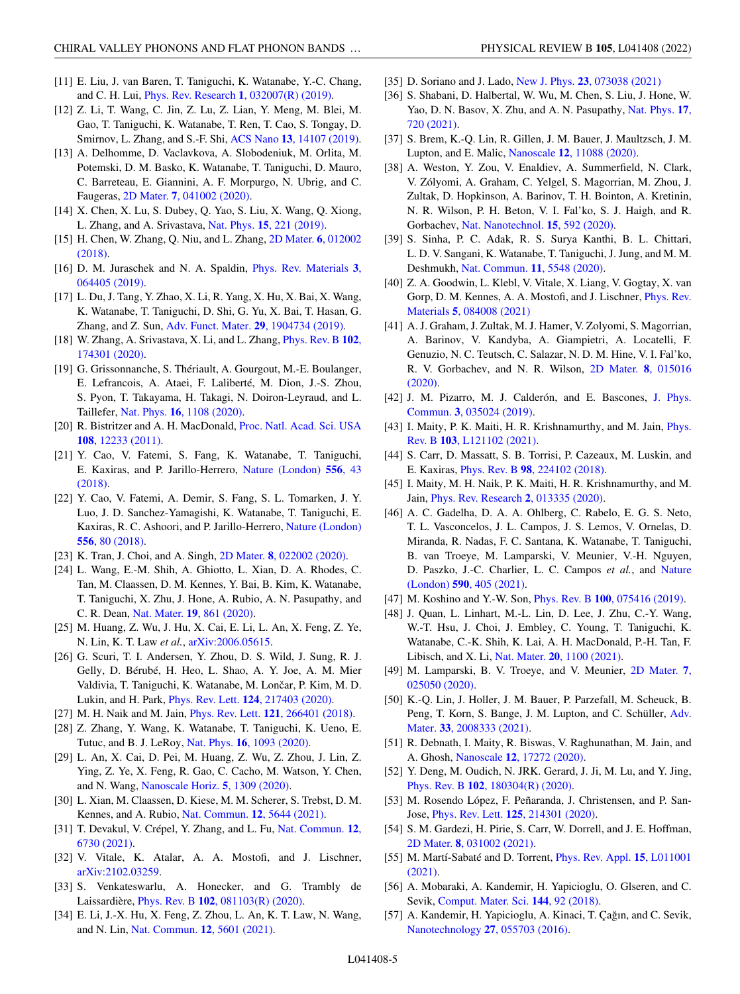- <span id="page-4-0"></span>[11] E. Liu, J. van Baren, T. Taniguchi, K. Watanabe, Y.-C. Chang, and C. H. Lui, [Phys. Rev. Research](https://doi.org/10.1103/PhysRevResearch.1.032007) **1**, 032007(R) (2019).
- [12] Z. Li, T. Wang, C. Jin, Z. Lu, Z. Lian, Y. Meng, M. Blei, M. Gao, T. Taniguchi, K. Watanabe, T. Ren, T. Cao, S. Tongay, D. Smirnov, L. Zhang, and S.-F. Shi, ACS Nano **13**[, 14107 \(2019\).](https://doi.org/10.1021/acsnano.9b06682)
- [13] A. Delhomme, D. Vaclavkova, A. Slobodeniuk, M. Orlita, M. Potemski, D. M. Basko, K. Watanabe, T. Taniguchi, D. Mauro, C. Barreteau, E. Giannini, A. F. Morpurgo, N. Ubrig, and C. Faugeras, 2D Mater. **7**[, 041002 \(2020\).](https://doi.org/10.1088/2053-1583/aba567)
- [14] X. Chen, X. Lu, S. Dubey, Q. Yao, S. Liu, X. Wang, Q. Xiong, L. Zhang, and A. Srivastava, Nat. Phys. **15**[, 221 \(2019\).](https://doi.org/10.1038/s41567-018-0366-7)
- [15] [H. Chen, W. Zhang, Q. Niu, and L. Zhang,](https://doi.org/10.1088/2053-1583/aaf292) 2D Mater. **6**, 012002 (2018).
- [16] [D. M. Juraschek and N. A. Spaldin,](https://doi.org/10.1103/PhysRevMaterials.3.064405) Phys. Rev. Materials **3**, 064405 (2019).
- [17] L. Du, J. Tang, Y. Zhao, X. Li, R. Yang, X. Hu, X. Bai, X. Wang, K. Watanabe, T. Taniguchi, D. Shi, G. Yu, X. Bai, T. Hasan, G. Zhang, and Z. Sun, [Adv. Funct. Mater.](https://doi.org/10.1002/adfm.201904734) **29**, 1904734 (2019).
- [18] [W. Zhang, A. Srivastava, X. Li, and L. Zhang,](https://doi.org/10.1103/PhysRevB.102.174301) Phys. Rev. B **102**, 174301 (2020).
- [19] G. Grissonnanche, S. Thériault, A. Gourgout, M.-E. Boulanger, E. Lefrancois, A. Ataei, F. Laliberté, M. Dion, J.-S. Zhou, S. Pyon, T. Takayama, H. Takagi, N. Doiron-Leyraud, and L. Taillefer, Nat. Phys. **16**[, 1108 \(2020\).](https://doi.org/10.1038/s41567-020-0965-y)
- [20] [R. Bistritzer and A. H. MacDonald,](https://doi.org/10.1073/pnas.1108174108) Proc. Natl. Acad. Sci. USA **108**, 12233 (2011).
- [21] Y. Cao, V. Fatemi, S. Fang, K. Watanabe, T. Taniguchi, [E. Kaxiras, and P. Jarillo-Herrero,](https://doi.org/10.1038/nature26160) Nature (London) **556**, 43 (2018).
- [22] Y. Cao, V. Fatemi, A. Demir, S. Fang, S. L. Tomarken, J. Y. Luo, J. D. Sanchez-Yamagishi, K. Watanabe, T. Taniguchi, E. [Kaxiras, R. C. Ashoori, and P. Jarillo-Herrero,](https://doi.org/10.1038/nature26154) Nature (London) **556**, 80 (2018).
- [23] K. Tran, J. Choi, and A. Singh, 2D Mater. **8**[, 022002 \(2020\).](https://doi.org/10.1088/2053-1583/abd3e7)
- [24] L. Wang, E.-M. Shih, A. Ghiotto, L. Xian, D. A. Rhodes, C. Tan, M. Claassen, D. M. Kennes, Y. Bai, B. Kim, K. Watanabe, T. Taniguchi, X. Zhu, J. Hone, A. Rubio, A. N. Pasupathy, and C. R. Dean, Nat. Mater. **19**[, 861 \(2020\).](https://doi.org/10.1038/s41563-020-0708-6)
- [25] M. Huang, Z. Wu, J. Hu, X. Cai, E. Li, L. An, X. Feng, Z. Ye, N. Lin, K. T. Law *et al.*, [arXiv:2006.05615.](http://arxiv.org/abs/arXiv:2006.05615)
- [26] G. Scuri, T. I. Andersen, Y. Zhou, D. S. Wild, J. Sung, R. J. Gelly, D. Bérubé, H. Heo, L. Shao, A. Y. Joe, A. M. Mier Valdivia, T. Taniguchi, K. Watanabe, M. Lončar, P. Kim, M. D. Lukin, and H. Park, Phys. Rev. Lett. **124**[, 217403 \(2020\).](https://doi.org/10.1103/PhysRevLett.124.217403)
- [27] M. H. Naik and M. Jain, Phys. Rev. Lett. **121**[, 266401 \(2018\).](https://doi.org/10.1103/PhysRevLett.121.266401)
- [28] Z. Zhang, Y. Wang, K. Watanabe, T. Taniguchi, K. Ueno, E. Tutuc, and B. J. LeRoy, Nat. Phys. **16**[, 1093 \(2020\).](https://doi.org/10.1038/s41567-020-0958-x)
- [29] L. An, X. Cai, D. Pei, M. Huang, Z. Wu, Z. Zhou, J. Lin, Z. Ying, Z. Ye, X. Feng, R. Gao, C. Cacho, M. Watson, Y. Chen, and N. Wang, [Nanoscale Horiz.](https://doi.org/10.1039/D0NH00248H) **5**, 1309 (2020).
- [30] L. Xian, M. Claassen, D. Kiese, M. M. Scherer, S. Trebst, D. M. Kennes, and A. Rubio, [Nat. Commun.](https://doi.org/10.1038/s41467-021-25922-8) **12**, 5644 (2021).
- [31] [T. Devakul, V. Crépel, Y. Zhang, and L. Fu,](https://doi.org/10.1038/s41467-021-27042-9) Nat. Commun. **12**, 6730 (2021).
- [32] V. Vitale, K. Atalar, A. A. Mostofi, and J. Lischner, [arXiv:2102.03259.](http://arxiv.org/abs/arXiv:2102.03259)
- [33] S. Venkateswarlu, A. Honecker, and G. Trambly de Laissardière, Phys. Rev. B **102**[, 081103\(R\) \(2020\).](https://doi.org/10.1103/PhysRevB.102.081103)
- [34] E. Li, J.-X. Hu, X. Feng, Z. Zhou, L. An, K. T. Law, N. Wang, and N. Lin, [Nat. Commun.](https://doi.org/10.1038/s41467-021-25924-6) **12**, 5601 (2021).
- 
- [35] D. Soriano and J. Lado, New J. Phys. **23**[, 073038 \(2021\)](https://doi.org/10.1088/1367-2630/ac12fb)
- [36] S. Shabani, D. Halbertal, W. Wu, M. Chen, S. Liu, J. Hone, W. [Yao, D. N. Basov, X. Zhu, and A. N. Pasupathy,](https://doi.org/10.1038/s41567-021-01174-7) Nat. Phys. **17**, 720 (2021).
- [37] S. Brem, K.-Q. Lin, R. Gillen, J. M. Bauer, J. Maultzsch, J. M. Lupton, and E. Malic, Nanoscale **12**[, 11088 \(2020\).](https://doi.org/10.1039/D0NR02160A)
- [38] A. Weston, Y. Zou, V. Enaldiev, A. Summerfield, N. Clark, V. Zólyomi, A. Graham, C. Yelgel, S. Magorrian, M. Zhou, J. Zultak, D. Hopkinson, A. Barinov, T. H. Bointon, A. Kretinin, N. R. Wilson, P. H. Beton, V. I. Fal'ko, S. J. Haigh, and R. Gorbachev, [Nat. Nanotechnol.](https://doi.org/10.1038/s41565-020-0682-9) **15**, 592 (2020).
- [39] S. Sinha, P. C. Adak, R. S. Surya Kanthi, B. L. Chittari, L. D. V. Sangani, K. Watanabe, T. Taniguchi, J. Jung, and M. M. Deshmukh, [Nat. Commun.](https://doi.org/10.1038/s41467-020-19284-w) **11**, 5548 (2020).
- [40] Z. A. Goodwin, L. Klebl, V. Vitale, X. Liang, V. Gogtay, X. van [Gorp, D. M. Kennes, A. A. Mostofi, and J. Lischner,](https://doi.org/10.1103/PhysRevMaterials.5.084008) Phys. Rev. Materials **5**, 084008 (2021)
- [41] A. J. Graham, J. Zultak, M. J. Hamer, V. Zolyomi, S. Magorrian, A. Barinov, V. Kandyba, A. Giampietri, A. Locatelli, F. Genuzio, N. C. Teutsch, C. Salazar, N. D. M. Hine, V. I. Fal'ko, [R. V. Gorbachev, and N. R. Wilson,](https://doi.org/10.1088/2053-1583/abc13e) 2D Mater. **8**, 015016 (2020).
- [42] [J. M. Pizarro, M. J. Calderón, and E. Bascones,](https://doi.org/10.1088/2399-6528/ab0fa9) J. Phys. Commun. **3**, 035024 (2019).
- [43] [I. Maity, P. K. Maiti, H. R. Krishnamurthy, and M. Jain,](https://doi.org/10.1103/PhysRevB.103.L121102) *Phys.* Rev. B **103**, L121102 (2021).
- [44] S. Carr, D. Massatt, S. B. Torrisi, P. Cazeaux, M. Luskin, and E. Kaxiras, Phys. Rev. B **98**[, 224102 \(2018\).](https://doi.org/10.1103/PhysRevB.98.224102)
- [45] I. Maity, M. H. Naik, P. K. Maiti, H. R. Krishnamurthy, and M. Jain, [Phys. Rev. Research](https://doi.org/10.1103/PhysRevResearch.2.013335) **2**, 013335 (2020).
- [46] A. C. Gadelha, D. A. A. Ohlberg, C. Rabelo, E. G. S. Neto, T. L. Vasconcelos, J. L. Campos, J. S. Lemos, V. Ornelas, D. Miranda, R. Nadas, F. C. Santana, K. Watanabe, T. Taniguchi, B. van Troeye, M. Lamparski, V. Meunier, V.-H. Nguyen, [D. Paszko, J.-C. Charlier, L. C. Campos](https://doi.org/10.1038/s41586-021-03252-5) *et al.*, and Nature (London) **590**, 405 (2021).
- [47] M. Koshino and Y.-W. Son, Phys. Rev. B **100**[, 075416 \(2019\).](https://doi.org/10.1103/PhysRevB.100.075416)
- [48] J. Quan, L. Linhart, M.-L. Lin, D. Lee, J. Zhu, C.-Y. Wang, W.-T. Hsu, J. Choi, J. Embley, C. Young, T. Taniguchi, K. Watanabe, C.-K. Shih, K. Lai, A. H. MacDonald, P.-H. Tan, F. Libisch, and X. Li, Nat. Mater. **20**[, 1100 \(2021\).](https://doi.org/10.1038/s41563-021-00960-1)
- [49] [M. Lamparski, B. V. Troeye, and V. Meunier,](https://doi.org/10.1088/2053-1583/ab7874) 2D Mater. **7**, 025050 (2020).
- [50] K.-Q. Lin, J. Holler, J. M. Bauer, P. Parzefall, M. Scheuck, B. [Peng, T. Korn, S. Bange, J. M. Lupton, and C. Schüller,](https://doi.org/10.1002/adma.202008333) Adv. Mater. **33**, 2008333 (2021).
- [51] R. Debnath, I. Maity, R. Biswas, V. Raghunathan, M. Jain, and A. Ghosh, Nanoscale **12**[, 17272 \(2020\).](https://doi.org/10.1039/C9NR09897F)
- [52] Y. Deng, M. Oudich, N. JRK. Gerard, J. Ji, M. Lu, and Y. Jing, Phys. Rev. B **102**[, 180304\(R\) \(2020\).](https://doi.org/10.1103/PhysRevB.102.180304)
- [53] M. Rosendo López, F. Peñaranda, J. Christensen, and P. San-Jose, Phys. Rev. Lett. **125**[, 214301 \(2020\).](https://doi.org/10.1103/PhysRevLett.125.214301)
- [54] S. M. Gardezi, H. Pirie, S. Carr, W. Dorrell, and J. E. Hoffman, 2D Mater. **8**[, 031002 \(2021\).](https://doi.org/10.1088/2053-1583/abf252)
- [55] [M. Martí-Sabaté and D. Torrent,](https://doi.org/10.1103/PhysRevApplied.15.L011001) Phys. Rev. Appl. **15**, L011001 (2021).
- [56] A. Mobaraki, A. Kandemir, H. Yapicioglu, O. Glseren, and C. Sevik, [Comput. Mater. Sci.](https://doi.org/10.1016/j.commatsci.2017.12.005) **144**, 92 (2018).
- [57] A. Kandemir, H. Yapicioglu, A. Kinaci, T. Çağın, and C. Sevik, [Nanotechnology](https://doi.org/10.1088/0957-4484/27/5/055703) **27**, 055703 (2016).